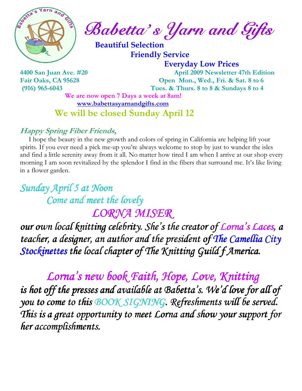

Babetta' s Yarn and Gifts

 Beautiful Selection Friendly Service

 Everyday Low Prices 4400 San Juan Ave. #20 April 2009 Newsletter 47th Edition Fair Oaks, CA 95628 Open Mon., Wed., Fri. & Sat. 8 to 6 (916) 965-6043 Tues. & Thurs. 8 to 8 & Sundays 8 to 4

> We are now open 7 Days a week at 8am! www.babettasyarnandgifts.com We will be closed Sunday April 12

### Happy Spring Fiber Friends,

 I hope the beauty in the new growth and colors of spring in California are helping lift your spirits. If you ever need a pick me-up you're always welcome to stop by just to wander the isles and find a little serenity away from it all. No matter how tired I am when I arrive at our shop every morning I am soon revitalized by the splendor I find in the fibers that surround me. It's like living in a flower garden.

Sunday April 5 at Noon Come and meet the lovely LORNA MISER

our own local knitting celebrity. She's the creator of Lorna's Laces, a teacher, a designer, an author and the president of The Camellia City Stockinettes the local chapter of The Knitting Guild f America.

Lorna's new book Faith, Hope, Love, Knitting is hot off the presses and available at Babetta's. We'd love for all of you to come to this BOOK SIGNING. Refreshments will be served. This is a great opportunity to meet Lorna and show your support for her accomplishments.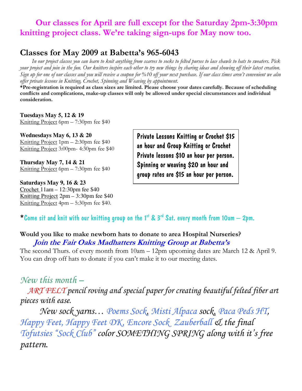## Our classes for April are full except for the Saturday 2pm-3:30pm knitting project class. We're taking sign-ups for May now too.

## Classes for May 2009 at Babetta's 965-6043

 In our project classes you can learn to knit anything from scarves to socks to felted purses to lace shawls to hats to sweaters. Pick your project and join in the fun. Our knitters inspire each other to try new things by sharing ideas and showing off their latest creation. Sign up for one of our classes and you will receive a coupon for %10 off your next purchase. If our class times aren't convenient we also offer private lessons in Knitting, Crochet, Spinning and Weaving by appointment.

\*Pre-registration is required as class sizes are limited. Please choose your dates carefully. Because of scheduling conflicts and complications, make-up classes will only be allowed under special circumstances and individual consideration.

**Tuesdays May 5, 12 & 19**  Knitting Project 6pm – 7:30pm fee \$40

**Wednesdays May 6, 13 & 20**  Knitting Project 1pm – 2:30pm fee \$40 Knitting Project 3:00pm- 4:30pm fee \$40

**Thursday May 7, 14 & 21**  Knitting Project 6pm – 7:30pm fee \$40

**Saturdays May 9, 16 & 23**  Crochet 11am – 12:30pm fee \$40 Knitting Project 2pm – 3:30pm fee \$40 Knitting Project 4pm – 5:30pm fee \$40.

Private Lessons Knitting or Crochet \$15 an hour and Group Knitting or Crochet Private lessons \$10 an hour per person. Spinning or weaving \$20 an hour and group rates are \$15 an hour per person.

\* Come sit and knit with our knitting group on the 1st & 3<sup>rd</sup> Sat. every month from 10am  $-$  2pm.

#### Would you like to make newborn hats to donate to area Hospital Nurseries? Join the Fair Oaks Madhatters Knitting Group at Babetta's

The second Thurs. of every month from 10am – 12pm upcoming dates are March 12 & April 9. You can drop off hats to donate if you can't make it to our meeting dates.

## New this month –

 ART FELT pencil roving and special paper for creating beautiful felted fiber art pieces with ease.

 New sock yarns… Poems Sock, Misti Alpaca sock, Paca Peds HT, Happy Feet, Happy Feet DK, Encore Sock Zauberball & the final Tofutsies "Sock Club" color SOMETHING SPRING along with it's free pattern.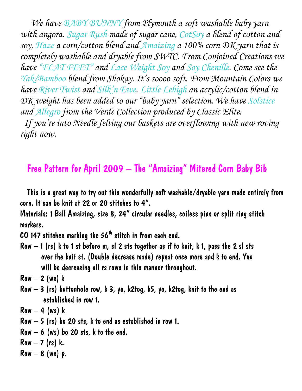We have BABY BUNNY from Plymouth a soft washable baby yarn with angora. Sugar Rush made of sugar cane, CotSoy a blend of cotton and soy, Haze a corn/cotton blend and Amaizing a 100% corn DK yarn that is completely washable and dryable from SWTC. From Conjoined Creations we have "FLAT FEET" and Lace Weight Soy and Soy Chenille. Come see the Yak/Bamboo blend from Shokay. It's soooo soft. From Mountain Colors we have River Twist and Silk'n Ewe. Little Lehigh an acrylic/cotton blend in DK weight has been added to our "baby yarn" selection. We have Solstice and Allegro from the Verde Collection produced by Classic Elite. If you're into Needle felting our baskets are overflowing with new roving right now.

# Free Pattern for April 2009 – The "Amaizing" Mitered Corn Baby Bib

 This is a great way to try out this wonderfully soft washable/dryable yarn made entirely from corn. It can be knit at 22 or 20 stitches to 4".

Materials: 1 Ball Amaizing, size 8, 24" circular needles, coiless pins or split ring stitch markers.

 $CO$  147 stitches marking the 56<sup>th</sup> stitch in from each end.

Row  $-1$  (rs) k to 1 st before m, sl 2 sts together as if to knit, k 1, pass the 2 sl sts over the knit st. (Double decrease made) repeat once more and k to end. You will be decreasing all rs rows in this manner throughout.

 $Row-2$  (ws)  $k$ 

Row  $-3$  (rs) buttonhole row, k 3, yo, k2tog, k5, yo, k2tog, knit to the end as established in row 1.

 $Row-4$  (ws) k

- Row  $-5$  (rs) bo 20 sts,  $k$  to end as established in row 1.
- $Row 6$  (ws) bo 20 sts, k to the end.
- Row  $-7$  (rs) k.
- Row  $-8$  (ws) p.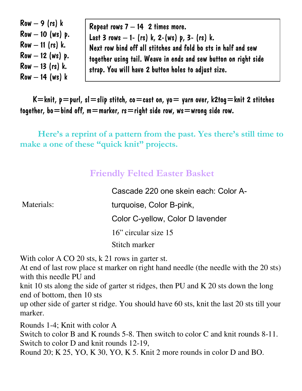$Row - 9$  (rs)  $k$ Row  $-10$  (ws) p.  $Row - 11$  (rs) k.  $Row - 12$  (ws) p.  $Row - 13$  (rs) k.  $Row - 14$  (ws)  $k$ 

Repeat rows  $7 - 14$  2 times more. Last 3 rows  $-1$ - (rs) k, 2-(ws) p, 3- (rs) k. Next row bind off all stitches and fold bo sts in half and sew together using tail. Weave in ends and sew button on right side strap. You will have 2 button holes to adjust size.

 $K=$ knit,  $p=$ purl, sl $=$ slip stitch, co $=$ cast on, yo $=$  yarn over, k2tog $=$ knit 2 stitches together, bo=bind off, m=marker, rs=right side row, ws=wrong side row.

 Here's a reprint of a pattern from the past. Yes there's still time to make a one of these "quick knit" projects.

## Friendly Felted Easter Basket

Materials:

Cascade 220 one skein each: Color Aturquoise, Color B-pink, Color C-yellow, Color D lavender 16" circular size 15 Stitch marker

With color A CO 20 sts, k 21 rows in garter st.

At end of last row place st marker on right hand needle (the needle with the 20 sts) with this needle PU and

knit 10 sts along the side of garter st ridges, then PU and K 20 sts down the long end of bottom, then 10 sts

up other side of garter st ridge. You should have 60 sts, knit the last 20 sts till your marker.

Rounds 1-4; Knit with color A

Switch to color B and K rounds 5-8. Then switch to color C and knit rounds 8-11. Switch to color D and knit rounds 12-19,

Round 20; K 25, YO, K 30, YO, K 5. Knit 2 more rounds in color D and BO.